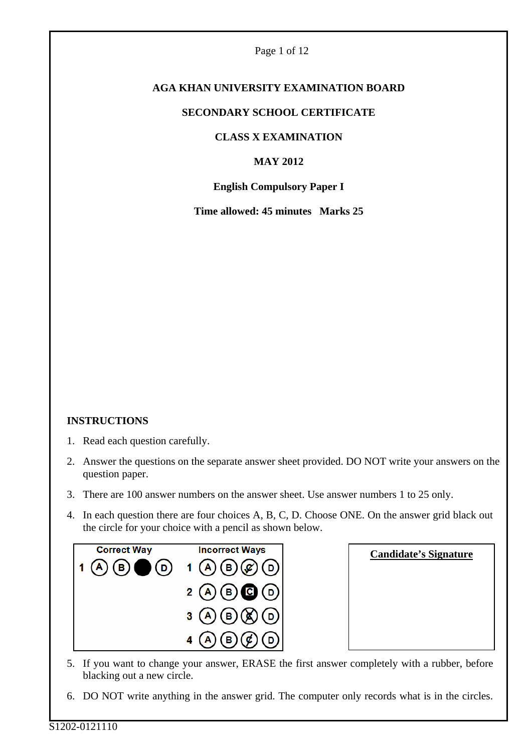#### Page 1 of 12

# **AGA KHAN UNIVERSITY EXAMINATION BOARD**

#### **SECONDARY SCHOOL CERTIFICATE**

#### **CLASS X EXAMINATION**

# **MAY 2012**

#### **English Compulsory Paper I**

**Time allowed: 45 minutes Marks 25** 

# **INSTRUCTIONS**

- 1. Read each question carefully.
- 2. Answer the questions on the separate answer sheet provided. DO NOT write your answers on the question paper.
- 3. There are 100 answer numbers on the answer sheet. Use answer numbers 1 to 25 only.
- 4. In each question there are four choices A, B, C, D. Choose ONE. On the answer grid black out the circle for your choice with a pencil as shown below.



| <b>Candidate's Signature</b> |  |  |  |  |
|------------------------------|--|--|--|--|
|                              |  |  |  |  |
|                              |  |  |  |  |
|                              |  |  |  |  |
|                              |  |  |  |  |

- 5. If you want to change your answer, ERASE the first answer completely with a rubber, before blacking out a new circle.
- 6. DO NOT write anything in the answer grid. The computer only records what is in the circles.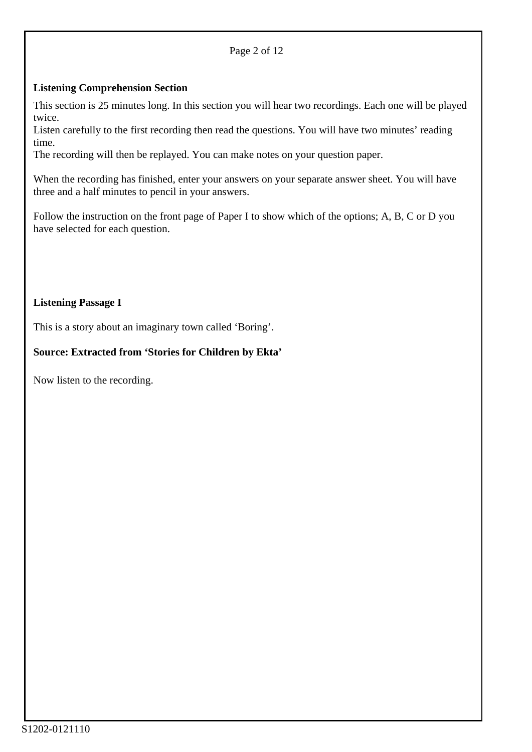#### Page 2 of 12

#### **Listening Comprehension Section**

This section is 25 minutes long. In this section you will hear two recordings. Each one will be played twice.

Listen carefully to the first recording then read the questions. You will have two minutes' reading time.

The recording will then be replayed. You can make notes on your question paper.

When the recording has finished, enter your answers on your separate answer sheet. You will have three and a half minutes to pencil in your answers.

Follow the instruction on the front page of Paper I to show which of the options; A, B, C or D you have selected for each question.

# **Listening Passage I**

This is a story about an imaginary town called 'Boring'.

#### **Source: Extracted from 'Stories for Children by Ekta'**

Now listen to the recording.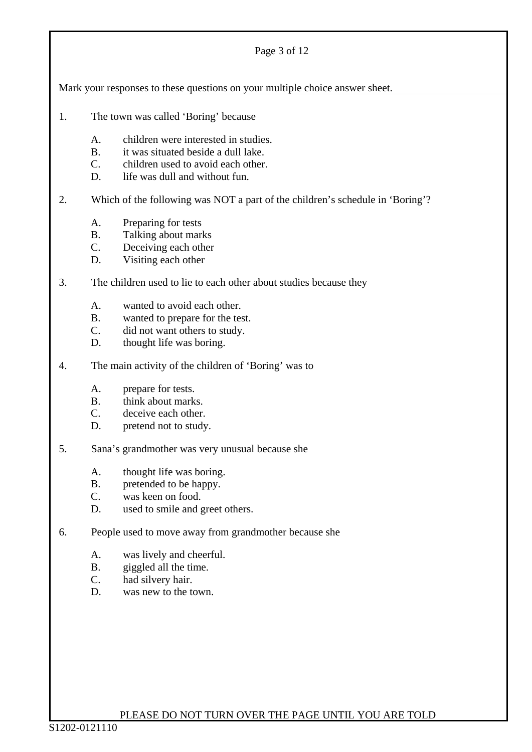#### Page 3 of 12

Mark your responses to these questions on your multiple choice answer sheet.

- 1. The town was called 'Boring' because
	- A. children were interested in studies.
	- B. it was situated beside a dull lake.
	- C. children used to avoid each other.
	- D. life was dull and without fun.

2. Which of the following was NOT a part of the children's schedule in 'Boring'?

- A. Preparing for tests
- B. Talking about marks
- C. Deceiving each other
- D. Visiting each other

# 3. The children used to lie to each other about studies because they

- A. wanted to avoid each other.
- B. wanted to prepare for the test.
- C. did not want others to study.
- D. thought life was boring.
- 4. The main activity of the children of 'Boring' was to
	- A. prepare for tests.
	- B. think about marks.
	- C. deceive each other.
	- D. pretend not to study.
- 5. Sana's grandmother was very unusual because she
	- A. thought life was boring.
	- B. pretended to be happy.
	- C. was keen on food.
	- D. used to smile and greet others.
- 6. People used to move away from grandmother because she
	- A. was lively and cheerful.
	- B. giggled all the time.
	- C. had silvery hair.
	- D. was new to the town.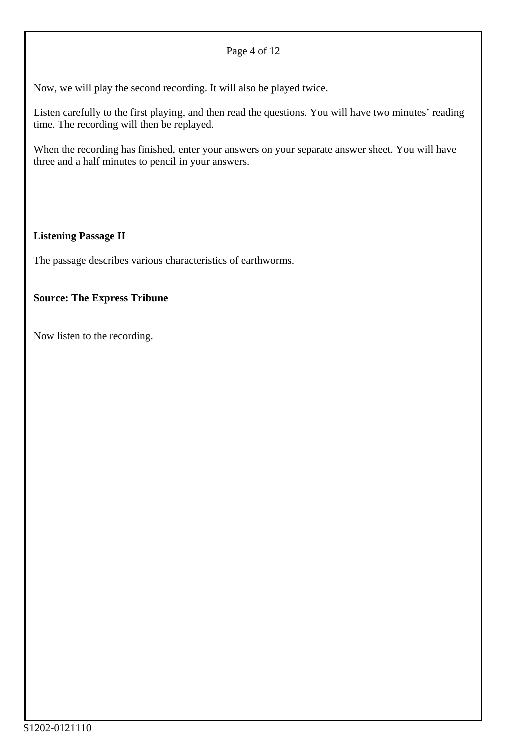#### Page 4 of 12

Now, we will play the second recording. It will also be played twice.

Listen carefully to the first playing, and then read the questions. You will have two minutes' reading time. The recording will then be replayed.

When the recording has finished, enter your answers on your separate answer sheet. You will have three and a half minutes to pencil in your answers.

# **Listening Passage II**

The passage describes various characteristics of earthworms.

#### **Source: The Express Tribune**

Now listen to the recording.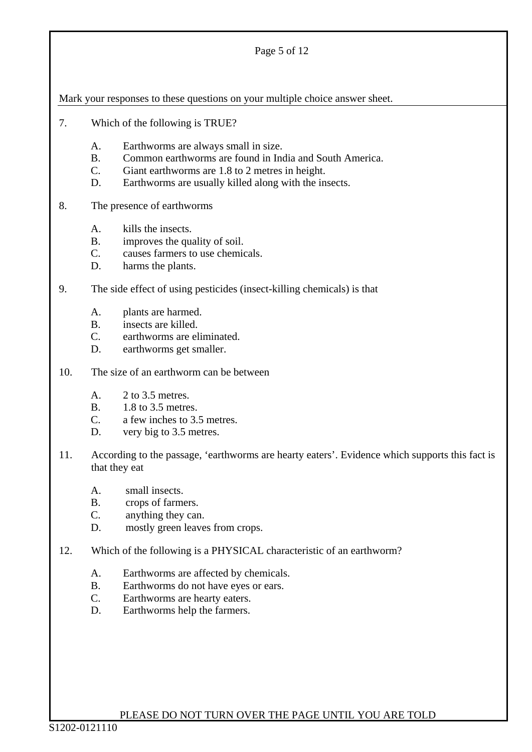#### Page 5 of 12

Mark your responses to these questions on your multiple choice answer sheet.

- 7. Which of the following is TRUE?
	- A. Earthworms are always small in size.
	- B. Common earthworms are found in India and South America.
	- C. Giant earthworms are 1.8 to 2 metres in height.
	- D. Earthworms are usually killed along with the insects.

#### 8. The presence of earthworms

- A. kills the insects.
- B. improves the quality of soil.
- C. causes farmers to use chemicals.
- D. harms the plants.

# 9. The side effect of using pesticides (insect-killing chemicals) is that

- A. plants are harmed.
- B. insects are killed.
- C. earthworms are eliminated.
- D. earthworms get smaller.

#### 10. The size of an earthworm can be between

- A. 2 to 3.5 metres.
- B. 1.8 to 3.5 metres.
- C. a few inches to 3.5 metres.
- D. very big to 3.5 metres.
- 11. According to the passage, 'earthworms are hearty eaters'. Evidence which supports this fact is that they eat
	- A. small insects.
	- B. crops of farmers.
	- C. anything they can.
	- D. mostly green leaves from crops.
- 12. Which of the following is a PHYSICAL characteristic of an earthworm?
	- A. Earthworms are affected by chemicals.
	- B. Earthworms do not have eyes or ears.
	- C. Earthworms are hearty eaters.
	- D. Earthworms help the farmers.

#### PLEASE DO NOT TURN OVER THE PAGE UNTIL YOU ARE TOLD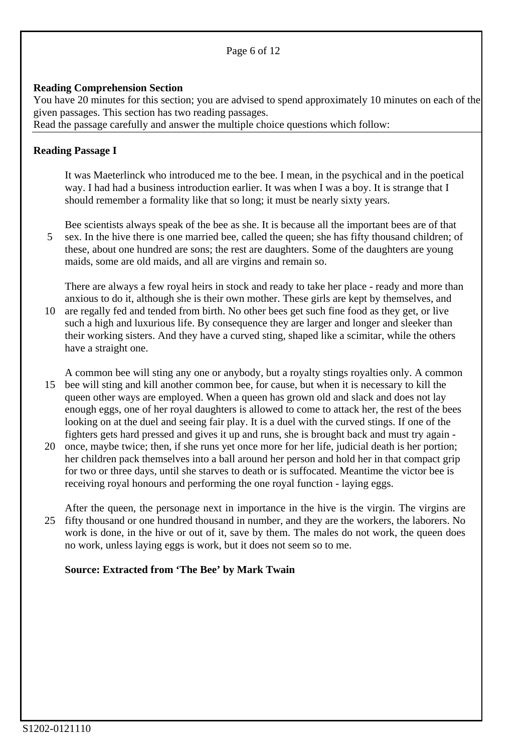#### Page 6 of 12

#### **Reading Comprehension Section**

You have 20 minutes for this section; you are advised to spend approximately 10 minutes on each of the given passages. This section has two reading passages.

Read the passage carefully and answer the multiple choice questions which follow:

#### **Reading Passage I**

It was Maeterlinck who introduced me to the bee. I mean, in the psychical and in the poetical way. I had had a business introduction earlier. It was when I was a boy. It is strange that I should remember a formality like that so long; it must be nearly sixty years.

5 Bee scientists always speak of the bee as she. It is because all the important bees are of that sex. In the hive there is one married bee, called the queen; she has fifty thousand children; of these, about one hundred are sons; the rest are daughters. Some of the daughters are young maids, some are old maids, and all are virgins and remain so.

10 are regally fed and tended from birth. No other bees get such fine food as they get, or live There are always a few royal heirs in stock and ready to take her place - ready and more than anxious to do it, although she is their own mother. These girls are kept by themselves, and such a high and luxurious life. By consequence they are larger and longer and sleeker than their working sisters. And they have a curved sting, shaped like a scimitar, while the others have a straight one.

15 bee will sting and kill another common bee, for cause, but when it is necessary to kill the A common bee will sting any one or anybody, but a royalty stings royalties only. A common queen other ways are employed. When a queen has grown old and slack and does not lay enough eggs, one of her royal daughters is allowed to come to attack her, the rest of the bees looking on at the duel and seeing fair play. It is a duel with the curved stings. If one of the fighters gets hard pressed and gives it up and runs, she is brought back and must try again -

20 once, maybe twice; then, if she runs yet once more for her life, judicial death is her portion; her children pack themselves into a ball around her person and hold her in that compact grip for two or three days, until she starves to death or is suffocated. Meantime the victor bee is receiving royal honours and performing the one royal function - laying eggs.

25 fifty thousand or one hundred thousand in number, and they are the workers, the laborers. No After the queen, the personage next in importance in the hive is the virgin. The virgins are work is done, in the hive or out of it, save by them. The males do not work, the queen does no work, unless laying eggs is work, but it does not seem so to me.

#### **Source: Extracted from 'The Bee' by Mark Twain**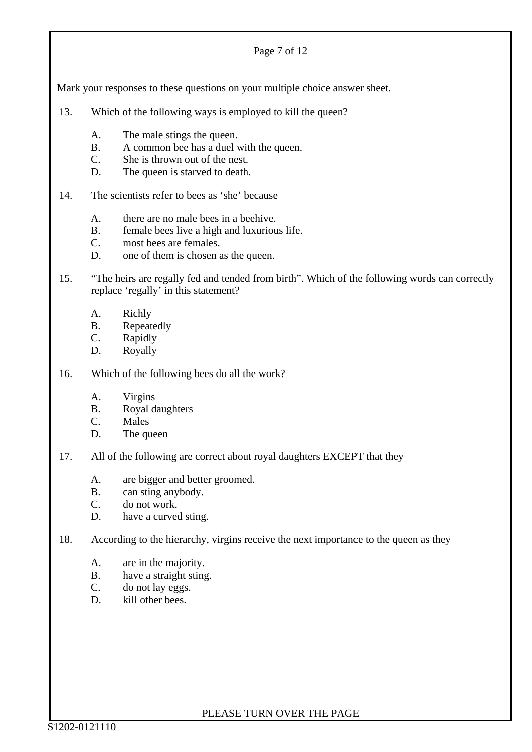#### Page 7 of 12

Mark your responses to these questions on your multiple choice answer sheet*.*

- 13. Which of the following ways is employed to kill the queen?
	- A. The male stings the queen.
	- B. A common bee has a duel with the queen.
	- C. She is thrown out of the nest.
	- D. The queen is starved to death.
- 14. The scientists refer to bees as 'she' because
	- A. there are no male bees in a beehive.
	- B. female bees live a high and luxurious life.
	- C. most bees are females.
	- D. one of them is chosen as the queen.
- 15. "The heirs are regally fed and tended from birth". Which of the following words can correctly replace 'regally' in this statement?
	- A. Richly
	- B. Repeatedly
	- C. Rapidly
	- D. Royally
- 16. Which of the following bees do all the work?
	- A. Virgins
	- B. Royal daughters
	- C. Males
	- D. The queen
- 17. All of the following are correct about royal daughters EXCEPT that they
	- A. are bigger and better groomed.
	- B. can sting anybody.
	- C. do not work.
	- D. have a curved sting.
- 18. According to the hierarchy, virgins receive the next importance to the queen as they
	- A. are in the majority.
	- B. have a straight sting.
	- C. do not lay eggs.
	- D. kill other bees.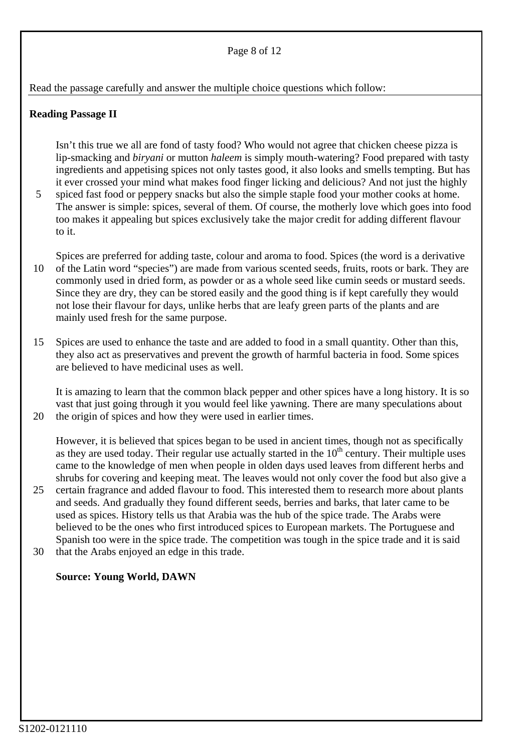#### Page 8 of 12

#### Read the passage carefully and answer the multiple choice questions which follow:

#### **Reading Passage II**

Isn't this true we all are fond of tasty food? Who would not agree that chicken cheese pizza is lip-smacking and *biryani* or mutton *haleem* is simply mouth-watering? Food prepared with tasty ingredients and appetising spices not only tastes good, it also looks and smells tempting. But has it ever crossed your mind what makes food finger licking and delicious? And not just the highly

5 spiced fast food or peppery snacks but also the simple staple food your mother cooks at home. The answer is simple: spices, several of them. Of course, the motherly love which goes into food too makes it appealing but spices exclusively take the major credit for adding different flavour to it.

10 Spices are preferred for adding taste, colour and aroma to food. Spices (the word is a derivative of the Latin word "species") are made from various scented seeds, fruits, roots or bark. They are commonly used in dried form, as powder or as a whole seed like cumin seeds or mustard seeds. Since they are dry, they can be stored easily and the good thing is if kept carefully they would not lose their flavour for days, unlike herbs that are leafy green parts of the plants and are mainly used fresh for the same purpose.

15 Spices are used to enhance the taste and are added to food in a small quantity. Other than this, they also act as preservatives and prevent the growth of harmful bacteria in food. Some spices are believed to have medicinal uses as well.

It is amazing to learn that the common black pepper and other spices have a long history. It is so vast that just going through it you would feel like yawning. There are many speculations about the origin of spices and how they were used in earlier times.

However, it is believed that spices began to be used in ancient times, though not as specifically as they are used today. Their regular use actually started in the  $10<sup>th</sup>$  century. Their multiple uses came to the knowledge of men when people in olden days used leaves from different herbs and shrubs for covering and keeping meat. The leaves would not only cover the food but also give a

25 30 certain fragrance and added flavour to food. This interested them to research more about plants and seeds. And gradually they found different seeds, berries and barks, that later came to be used as spices. History tells us that Arabia was the hub of the spice trade. The Arabs were believed to be the ones who first introduced spices to European markets. The Portuguese and Spanish too were in the spice trade. The competition was tough in the spice trade and it is said that the Arabs enjoyed an edge in this trade.

#### **Source: Young World, DAWN**

20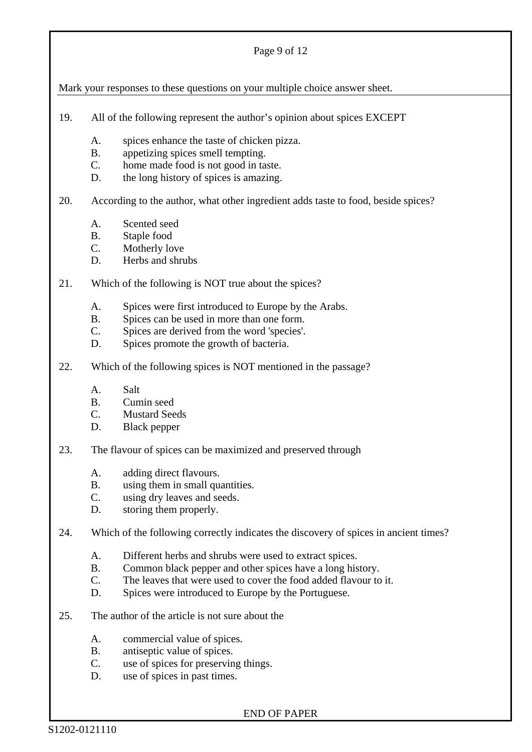#### Page 9 of 12

Mark your responses to these questions on your multiple choice answer sheet.

- 19. All of the following represent the author's opinion about spices EXCEPT
	- A. spices enhance the taste of chicken pizza.
	- B. appetizing spices smell tempting.
	- C. home made food is not good in taste.
	- D. the long history of spices is amazing.

20. According to the author, what other ingredient adds taste to food, beside spices?

- A. Scented seed
- B. Staple food
- C. Motherly love
- D. Herbs and shrubs
- 21. Which of the following is NOT true about the spices?
	- A. Spices were first introduced to Europe by the Arabs.
	- B. Spices can be used in more than one form.
	- C. Spices are derived from the word 'species'.
	- D. Spices promote the growth of bacteria.
- 22. Which of the following spices is NOT mentioned in the passage?
	- A. Salt
	- B. Cumin seed
	- C. Mustard Seeds
	- D. Black pepper
- 23. The flavour of spices can be maximized and preserved through
	- A. adding direct flavours.
	- B. using them in small quantities.
	- C. using dry leaves and seeds.
	- D. storing them properly.
- 24. Which of the following correctly indicates the discovery of spices in ancient times?
	- A. Different herbs and shrubs were used to extract spices.
	- B. Common black pepper and other spices have a long history.
	- C. The leaves that were used to cover the food added flavour to it.
	- D. Spices were introduced to Europe by the Portuguese.
- 25. The author of the article is not sure about the
	- A. commercial value of spices.
	- B. antiseptic value of spices.
	- C. use of spices for preserving things.
	- D. use of spices in past times.

END OF PAPER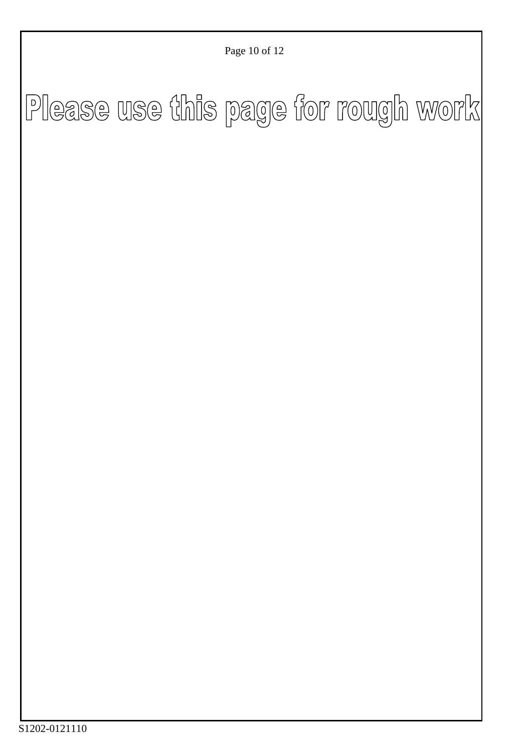Page 10 of 12

# Please use this page for rough work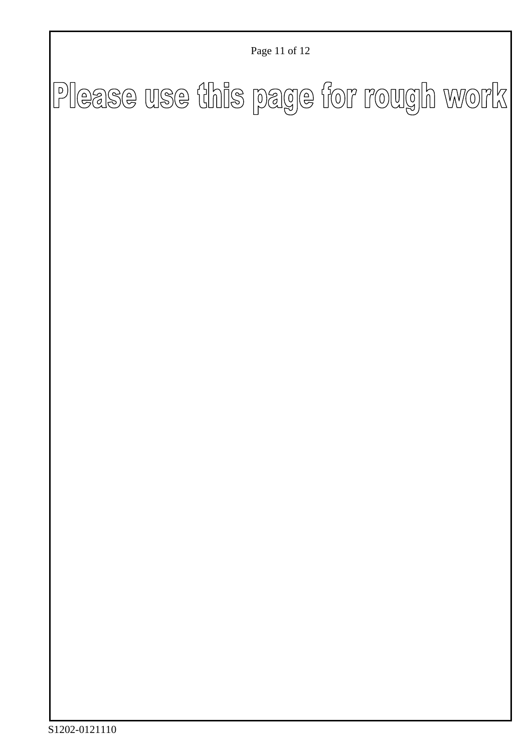